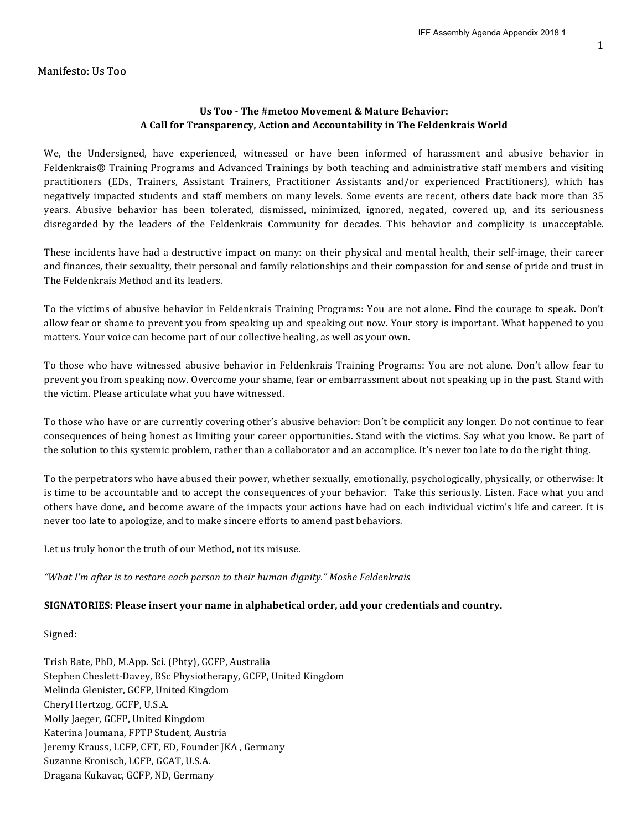#### Manifesto: Us Too

#### Us Too - The #metoo Movement & Mature Behavior: **A Call for Transparency, Action and Accountability in The Feldenkrais World**

We, the Undersigned, have experienced, witnessed or have been informed of harassment and abusive behavior in Feldenkrais® Training Programs and Advanced Trainings by both teaching and administrative staff members and visiting practitioners (EDs, Trainers, Assistant Trainers, Practitioner Assistants and/or experienced Practitioners), which has negatively impacted students and staff members on many levels. Some events are recent, others date back more than 35 years. Abusive behavior has been tolerated, dismissed, minimized, ignored, negated, covered up, and its seriousness disregarded by the leaders of the Feldenkrais Community for decades. This behavior and complicity is unacceptable.

These incidents have had a destructive impact on many: on their physical and mental health, their self-image, their career and finances, their sexuality, their personal and family relationships and their compassion for and sense of pride and trust in The Feldenkrais Method and its leaders.

To the victims of abusive behavior in Feldenkrais Training Programs: You are not alone. Find the courage to speak. Don't allow fear or shame to prevent you from speaking up and speaking out now. Your story is important. What happened to you matters. Your voice can become part of our collective healing, as well as your own.

To those who have witnessed abusive behavior in Feldenkrais Training Programs: You are not alone. Don't allow fear to prevent you from speaking now. Overcome your shame, fear or embarrassment about not speaking up in the past. Stand with the victim. Please articulate what you have witnessed.

To those who have or are currently covering other's abusive behavior: Don't be complicit any longer. Do not continue to fear consequences of being honest as limiting your career opportunities. Stand with the victims. Say what you know. Be part of the solution to this systemic problem, rather than a collaborator and an accomplice. It's never too late to do the right thing.

To the perpetrators who have abused their power, whether sexually, emotionally, psychologically, physically, or otherwise: It is time to be accountable and to accept the consequences of your behavior. Take this seriously. Listen. Face what you and others have done, and become aware of the impacts your actions have had on each individual victim's life and career. It is never too late to apologize, and to make sincere efforts to amend past behaviors.

Let us truly honor the truth of our Method, not its misuse.

"What I'm after is to restore each person to their human dignity." Moshe Feldenkrais

#### SIGNATORIES: Please insert your name in alphabetical order, add your credentials and country.

Signed:

Trish Bate, PhD, M.App. Sci. (Phty), GCFP, Australia Stephen Cheslett-Davey, BSc Physiotherapy, GCFP, United Kingdom Melinda Glenister, GCFP, United Kingdom Cheryl Hertzog, GCFP, U.S.A. Molly Jaeger, GCFP, United Kingdom Katerina Joumana, FPTP Student, Austria Jeremy Krauss, LCFP, CFT, ED, Founder JKA, Germany Suzanne Kronisch, LCFP, GCAT, U.S.A. Dragana Kukavac, GCFP, ND, Germany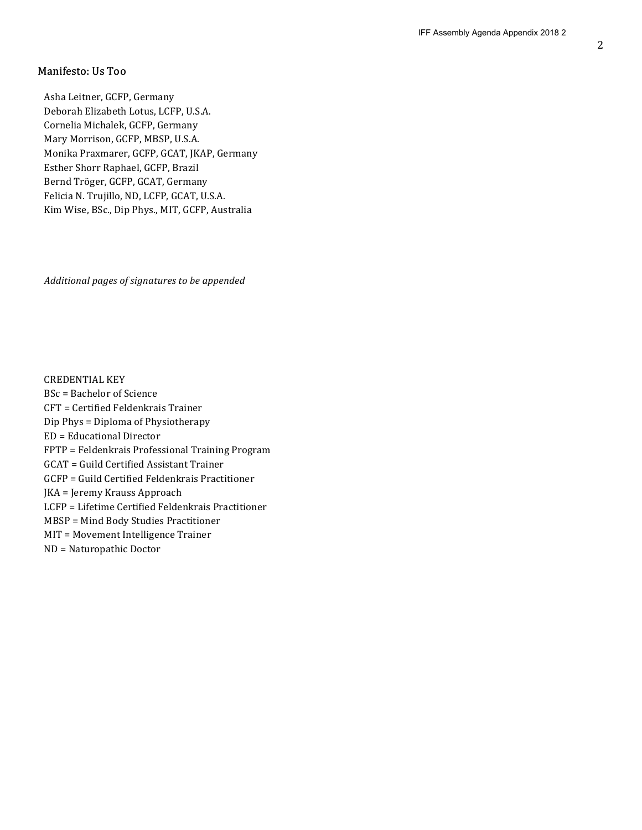#### Manifesto: Us Too

Asha Leitner, GCFP, Germany Deborah Elizabeth Lotus, LCFP, U.S.A. Cornelia Michalek, GCFP, Germany Mary Morrison, GCFP, MBSP, U.S.A. Monika Praxmarer, GCFP, GCAT, JKAP, Germany Esther Shorr Raphael, GCFP, Brazil Bernd Tröger, GCFP, GCAT, Germany Felicia N. Trujillo, ND, LCFP, GCAT, U.S.A. Kim Wise, BSc., Dip Phys., MIT, GCFP, Australia

*Additional pages of signatures to be appended*

**CREDENTIAL KEY** 

 $BSc =$  Bachelor of Science CFT = Certified Feldenkrais Trainer Dip Phys = Diploma of Physiotherapy ED = Educational Director FPTP = Feldenkrais Professional Training Program GCAT = Guild Certified Assistant Trainer GCFP = Guild Certified Feldenkrais Practitioner JKA = Jeremy Krauss Approach LCFP = Lifetime Certified Feldenkrais Practitioner MBSP = Mind Body Studies Practitioner MIT = Movement Intelligence Trainer ND = Naturopathic Doctor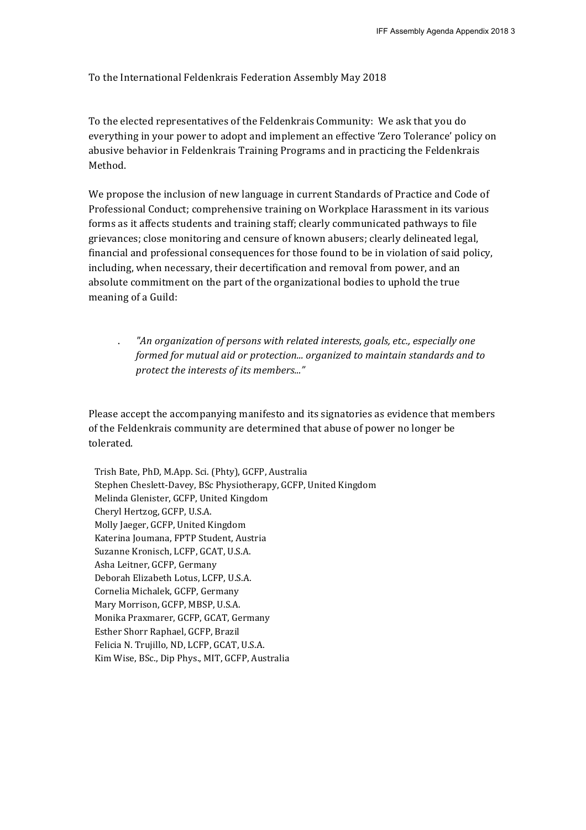To the International Feldenkrais Federation Assembly May 2018

To the elected representatives of the Feldenkrais Community: We ask that you do everything in your power to adopt and implement an effective 'Zero Tolerance' policy on abusive behavior in Feldenkrais Training Programs and in practicing the Feldenkrais Method. 

We propose the inclusion of new language in current Standards of Practice and Code of Professional Conduct; comprehensive training on Workplace Harassment in its various forms as it affects students and training staff; clearly communicated pathways to file grievances; close monitoring and censure of known abusers; clearly delineated legal, financial and professional consequences for those found to be in violation of said policy, including, when necessary, their decertification and removal from power, and an absolute commitment on the part of the organizational bodies to uphold the true meaning of a Guild:

"An organization of persons with related interests, goals, etc., especially one *formed for mutual aid or protection... organized to maintain standards and to protect the interests of its members..."* 

Please accept the accompanying manifesto and its signatories as evidence that members of the Feldenkrais community are determined that abuse of power no longer be tolerated. 

Trish Bate, PhD, M.App. Sci. (Phty), GCFP, Australia Stephen Cheslett-Davey, BSc Physiotherapy, GCFP, United Kingdom Melinda Glenister, GCFP, United Kingdom Cheryl Hertzog, GCFP, U.S.A. Molly Jaeger, GCFP, United Kingdom Katerina Joumana, FPTP Student, Austria Suzanne Kronisch, LCFP, GCAT, U.S.A. Asha Leitner, GCFP, Germany Deborah Elizabeth Lotus, LCFP, U.S.A. Cornelia Michalek, GCFP, Germany Mary Morrison, GCFP, MBSP, U.S.A. Monika Praxmarer, GCFP, GCAT, Germany Esther Shorr Raphael, GCFP, Brazil Felicia N. Trujillo, ND, LCFP, GCAT, U.S.A. Kim Wise, BSc., Dip Phys., MIT, GCFP, Australia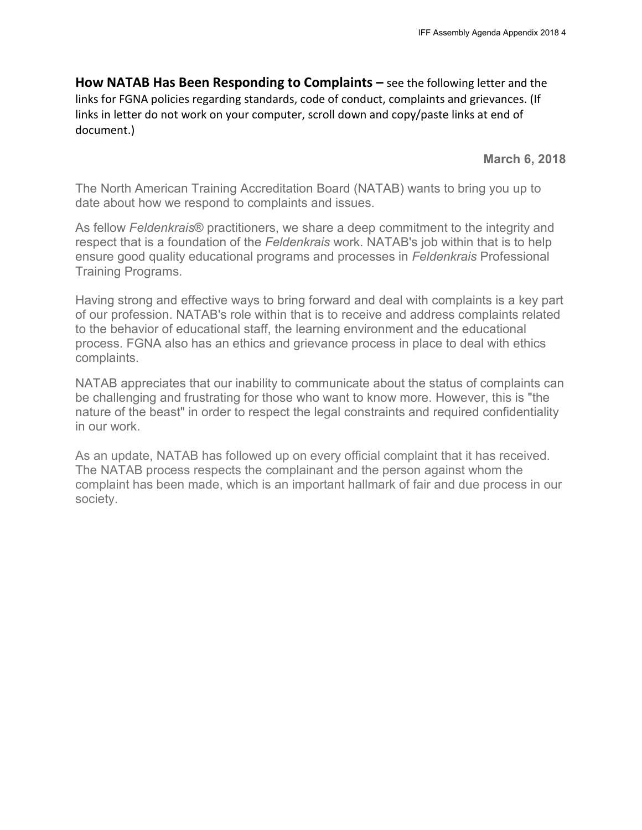**How NATAB Has Been Responding to Complaints –** see the following letter and the links for FGNA policies regarding standards, code of conduct, complaints and grievances. (If links in letter do not work on your computer, scroll down and copy/paste links at end of document.)

**March 6, 2018**

The North American Training Accreditation Board (NATAB) wants to bring you up to date about how we respond to complaints and issues.

As fellow *Feldenkrais*® practitioners, we share a deep commitment to the integrity and respect that is a foundation of the *Feldenkrais* work. NATAB's job within that is to help ensure good quality educational programs and processes in *Feldenkrais* Professional Training Programs.

Having strong and effective ways to bring forward and deal with complaints is a key part of our profession. NATAB's role within that is to receive and address complaints related to the behavior of educational staff, the learning environment and the educational process. FGNA also has an ethics and grievance process in place to deal with ethics complaints.

NATAB appreciates that our inability to communicate about the status of complaints can be challenging and frustrating for those who want to know more. However, this is "the nature of the beast" in order to respect the legal constraints and required confidentiality in our work.

As an update, NATAB has followed up on every official complaint that it has received. The NATAB process respects the complainant and the person against whom the complaint has been made, which is an important hallmark of fair and due process in our society.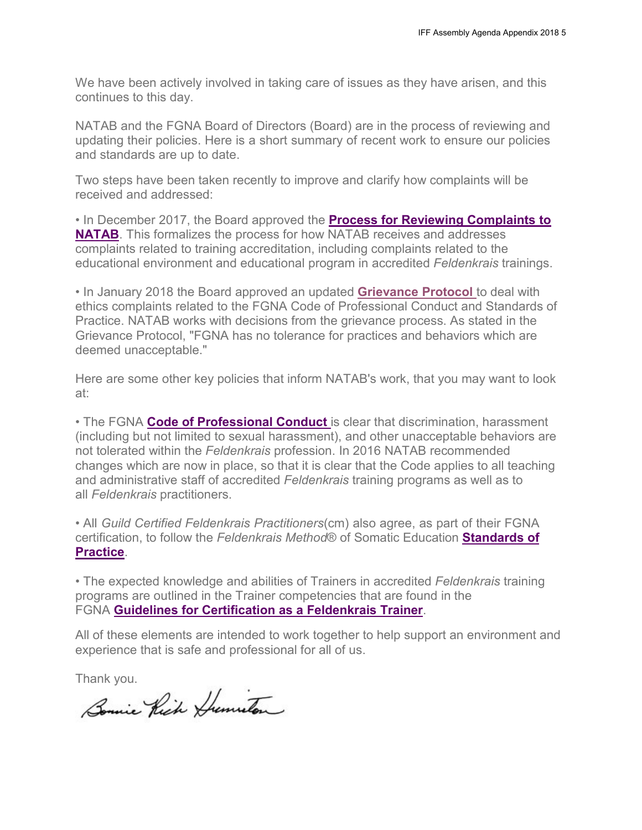We have been actively involved in taking care of issues as they have arisen, and this continues to this day.

NATAB and the FGNA Board of Directors (Board) are in the process of reviewing and updating their policies. Here is a short summary of recent work to ensure our policies and standards are up to date.

Two steps have been taken recently to improve and clarify how complaints will be received and addressed:

[• In December 2017, the Board approved the](http://www.feldenkraisguild.com/Files/natab-complaint-process-20171226.pdf) **Process for Reviewing Complaints to NATAB**[. This formalizes the process for how NATAB receives and addresses](http://www.feldenkraisguild.com/Files/natab-complaint-process-20171226.pdf) complaints related to training accreditation, including complaints related to the educational environment and educational program in accredited *Feldenkrais* trainings.

• In January 2018 the Board approved an updated **[Grievance Protocol](https://www.feldenkraisguild.com/Files/E2.3.3.3_Grievance_Protocol_01-27-2018.pdf)** to deal with ethics complaints related to the FGNA Code of Professional Conduct and Standards of Practice. NATAB works with decisions from the grievance process. As stated in the Grievance Protocol, "FGNA has no tolerance for practices and behaviors which are deemed unacceptable."

Here are some other key policies that inform NATAB's work, that you may want to look at:

• The FGNA **[Code of Professional Conduct](https://www.feldenkraisguild.com/Files/code-of-conduct-20170418.pdf)** is clear that discrimination, harassment (including but not limited to sexual harassment), and other unacceptable behaviors are not tolerated within the *Feldenkrais* profession. In 2016 NATAB recommended changes which are now in place, so that it is clear that the Code applies to all teaching and administrative staff of accredited *Feldenkrais* training programs as well as to all *Feldenkrais* practitioners.

• All *Guild Certified Feldenkrais Practitioners*(cm) also agree, as part of their FGNA [certification, to follow the](https://www.feldenkraisguild.com/Files/download/resources/CO5SOP2007.pdf) *Feldenkrais Method*® of Somatic Education **Standards of [Practice](https://www.feldenkraisguild.com/Files/download/resources/CO5SOP2007.pdf)**.

• The expected knowledge and abilities of Trainers in accredited *Feldenkrais* training programs are outlined in the Trainer competencies that are found in the FGNA **[Guidelines for Certification as a Feldenkrais Trainer](https://www.feldenkraisguild.com/Files/trainer-cert-streamlined-20150713.pdf)**.

All of these elements are intended to work together to help support an environment and experience that is safe and professional for all of us.

Thank you.

Bonnie Rich Humuton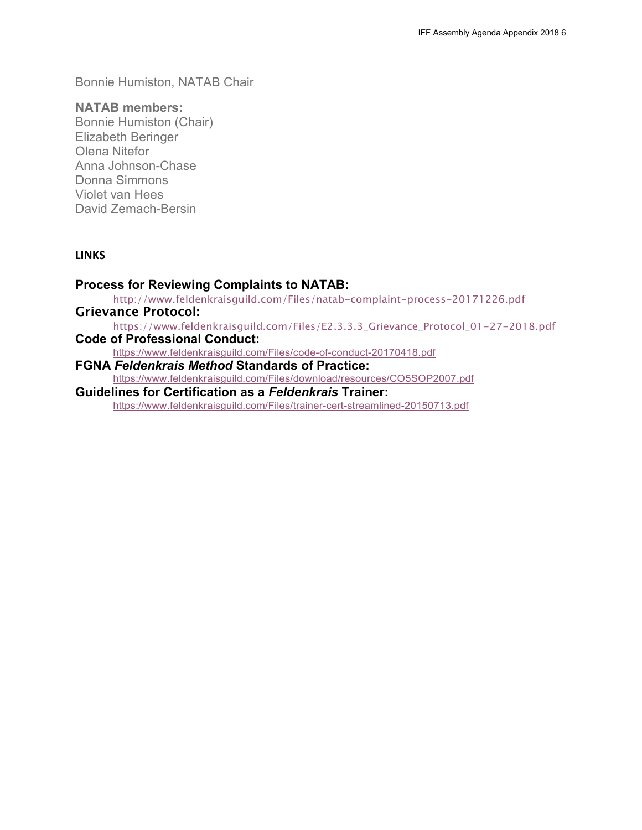Bonnie Humiston, NATAB Chair

### **NATAB members:**

Bonnie Humiston (Chair) Elizabeth Beringer Olena Nitefor Anna Johnson-Chase Donna Simmons Violet van Hees David Zemach-Bersin

### **LINKS**

## **Process for Reviewing Complaints to NATAB:**

<http://www.feldenkraisguild.com/Files/natab-complaint-process-20171226.pdf> Grievance Protocol:

https:/[/www.feldenkraisguild.com/Files/E2.3.3.3\\_Grievance\\_Protocol\\_01-27-2018.pdf](http://www.feldenkraisguild.com/Files/E2.3.3.3_Grievance_Protocol_01-27-2018.pdf)

**Code of Professional Conduct:**

https:/[/www.feldenkraisguild.com/Files/code-of-conduct-20170418.pdf](http://www.feldenkraisguild.com/Files/code-of-conduct-20170418.pdf)

**FGNA** *Feldenkrais Method* **Standards of Practice:** https:/[/www.feldenkraisguild.com/Files/download/resources/CO5SOP2007.pdf](http://www.feldenkraisguild.com/Files/download/resources/CO5SOP2007.pdf)

**Guidelines for Certification as a** *Feldenkrais* **Trainer:** https:/[/www.feldenkraisguild.com/Files/trainer-cert-streamlined-20150713.pdf](http://www.feldenkraisguild.com/Files/trainer-cert-streamlined-20150713.pdf)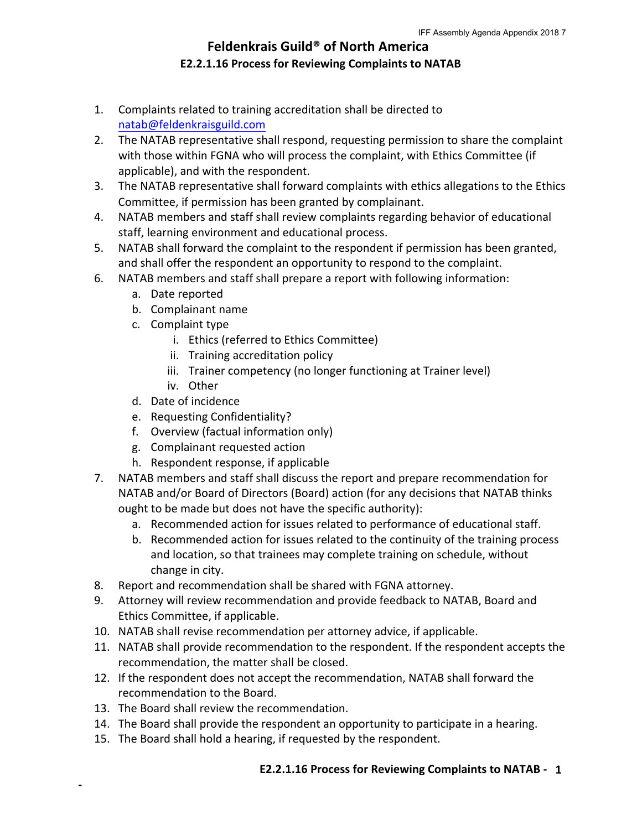## **Feldenkrais Guild® of North America E2.2.1.16 Process for Reviewing Complaints to NATAB**

- 1. Complaints related to training accreditation shall be directed to natab@feldenkraisguild.com
- 2. The NATAB representative shall respond, requesting permission to share the complaint with those within FGNA who will process the complaint, with Ethics Committee (if applicable), and with the respondent.
- 3. The NATAB representative shall forward complaints with ethics allegations to the Ethics Committee, if permission has been granted by complainant.
- 4. NATAB members and staff shall review complaints regarding behavior of educational staff, learning environment and educational process.
- 5. NATAB shall forward the complaint to the respondent if permission has been granted, and shall offer the respondent an opportunity to respond to the complaint.
- 6. NATAB members and staff shall prepare a report with following information:
	- a. Date reported
	- b. Complainant name
	- c. Complaint type
		- i. Ethics (referred to Ethics Committee)
		- ii. Training accreditation policy
		- iii. Trainer competency (no longer functioning at Trainer level)
		- iv. Other
	- d. Date of incidence
	- e. Requesting Confidentiality?
	- f. Overview (factual information only)
	- g. Complainant requested action
	- h. Respondent response, if applicable
- 7. NATAB members and staff shall discuss the report and prepare recommendation for NATAB and/or Board of Directors (Board) action (for any decisions that NATAB thinks ought to be made but does not have the specific authority):
	- a. Recommended action for issues related to performance of educational staff.
	- b. Recommended action for issues related to the continuity of the training process and location, so that trainees may complete training on schedule, without change in city.
- 8. Report and recommendation shall be shared with FGNA attorney.
- 9. Attorney will review recommendation and provide feedback to NATAB, Board and Ethics Committee, if applicable.
- 10. NATAB shall revise recommendation per attorney advice, if applicable.
- 11. NATAB shall provide recommendation to the respondent. If the respondent accepts the recommendation, the matter shall be closed.
- 12. If the respondent does not accept the recommendation, NATAB shall forward the recommendation to the Board.
- 13. The Board shall review the recommendation.

 $\blacksquare$ 

- 14. The Board shall provide the respondent an opportunity to participate in a hearing.
- 15. The Board shall hold a hearing, if requested by the respondent.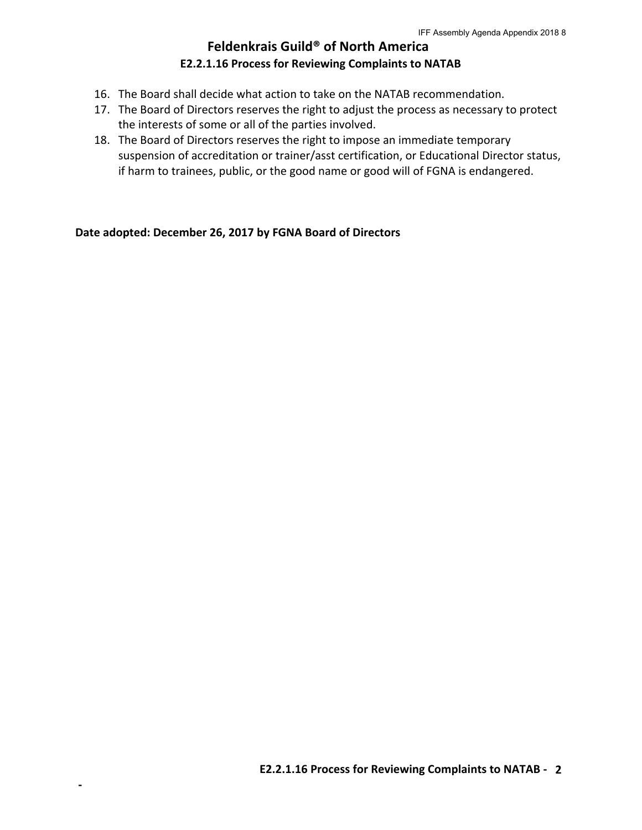## **Feldenkrais Guild® of North America E2.2.1.16 Process for Reviewing Complaints to NATAB**

- 16. The Board shall decide what action to take on the NATAB recommendation.
- 17. The Board of Directors reserves the right to adjust the process as necessary to protect the interests of some or all of the parties involved.
- 18. The Board of Directors reserves the right to impose an immediate temporary suspension of accreditation or trainer/asst certification, or Educational Director status, if harm to trainees, public, or the good name or good will of FGNA is endangered.

Date adopted: December 26, 2017 by FGNA Board of Directors

 $\blacksquare$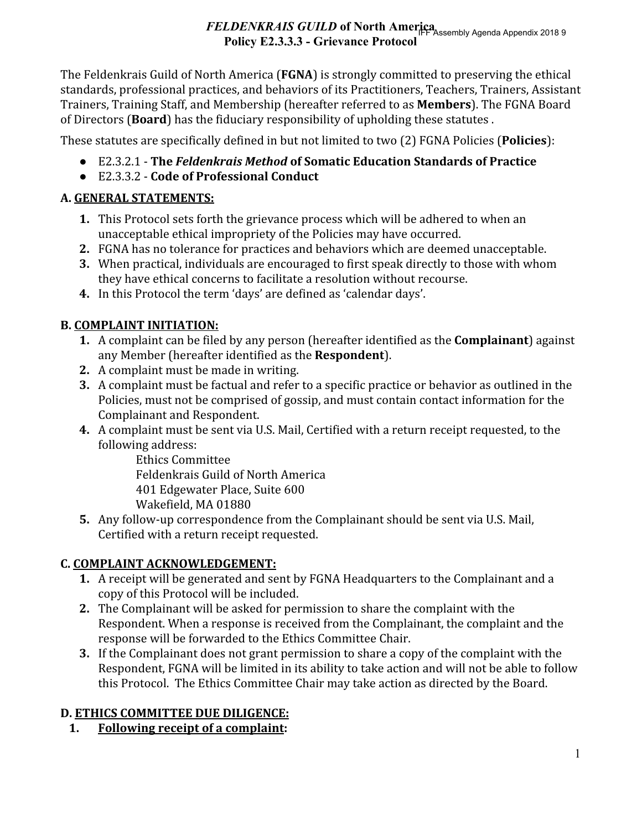# FELDENKRAIS GUILD of North America Seembly Agenda Appendix 2018 9 **Policy E2.3.3.3 - Grievance Protocol**

The Feldenkrais Guild of North America (FGNA) is strongly committed to preserving the ethical standards, professional practices, and behaviors of its Practitioners, Teachers, Trainers, Assistant Trainers, Training Staff, and Membership (hereafter referred to as Members). The FGNA Board of Directors (Board) has the fiduciary responsibility of upholding these statutes.

These statutes are specifically defined in but not limited to two (2) FGNA Policies (Policies):

- E2.3.2.1 The Feldenkrais Method of Somatic Education Standards of Practice
- E2.3.3.2 Code of Professional Conduct

# A. GENERAL STATEMENTS:

- 1. This Protocol sets forth the grievance process which will be adhered to when an unacceptable ethical impropriety of the Policies may have occurred.
- 2. FGNA has no tolerance for practices and behaviors which are deemed unacceptable.
- 3. When practical, individuals are encouraged to first speak directly to those with whom they have ethical concerns to facilitate a resolution without recourse.
- 4. In this Protocol the term 'days' are defined as 'calendar days'.

# **B. COMPLAINT INITIATION:**

- 1. A complaint can be filed by any person (hereafter identified as the **Complainant**) against any Member (hereafter identified as the Respondent).
- 2. A complaint must be made in writing.
- 3. A complaint must be factual and refer to a specific practice or behavior as outlined in the Policies, must not be comprised of gossip, and must contain contact information for the Complainant and Respondent.
- 4. A complaint must be sent via U.S. Mail, Certified with a return receipt requested, to the following address:

**Ethics Committee** Feldenkrais Guild of North America 401 Edgewater Place, Suite 600 Wakefield, MA 01880

5. Any follow-up correspondence from the Complainant should be sent via U.S. Mail, Certified with a return receipt requested.

# **C. COMPLAINT ACKNOWLEDGEMENT:**

- 1. A receipt will be generated and sent by FGNA Headquarters to the Complainant and a copy of this Protocol will be included.
- 2. The Complainant will be asked for permission to share the complaint with the Respondent. When a response is received from the Complainant, the complaint and the response will be forwarded to the Ethics Committee Chair.
- 3. If the Complainant does not grant permission to share a copy of the complaint with the Respondent, FGNA will be limited in its ability to take action and will not be able to follow this Protocol. The Ethics Committee Chair may take action as directed by the Board.

## D. ETHICS COMMITTEE DUE DILIGENCE:

**Following receipt of a complaint:**  $1<sub>1</sub>$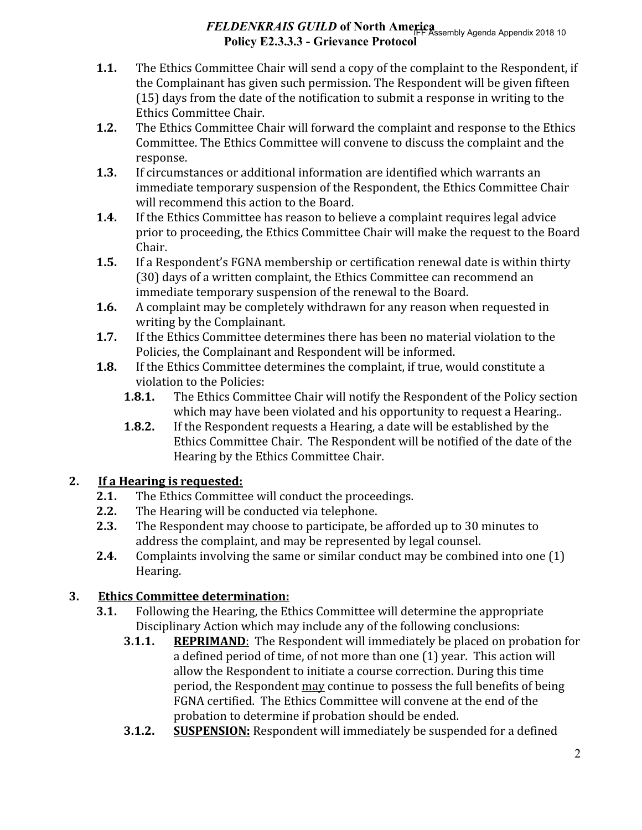# FELDENKRAIS GUILD of North America FR Assembly Agenda Appendix 2018 10 Policy E2.3.3.3 - Grievance Protocol

- $1.1.$ The Ethics Committee Chair will send a copy of the complaint to the Respondent, if the Complainant has given such permission. The Respondent will be given fifteen (15) days from the date of the notification to submit a response in writing to the Ethics Committee Chair.
- $1.2.$ The Ethics Committee Chair will forward the complaint and response to the Ethics Committee. The Ethics Committee will convene to discuss the complaint and the response.
- $1.3.$ If circumstances or additional information are identified which warrants an immediate temporary suspension of the Respondent, the Ethics Committee Chair will recommend this action to the Board.
- If the Ethics Committee has reason to believe a complaint requires legal advice  $1.4.$ prior to proceeding, the Ethics Committee Chair will make the request to the Board Chair.
- If a Respondent's FGNA membership or certification renewal date is within thirty  $1.5.$ (30) days of a written complaint, the Ethics Committee can recommend an immediate temporary suspension of the renewal to the Board.
- $1.6.$ A complaint may be completely withdrawn for any reason when requested in writing by the Complainant.
- $1.7.$ If the Ethics Committee determines there has been no material violation to the Policies, the Complainant and Respondent will be informed.
- If the Ethics Committee determines the complaint, if true, would constitute a  $1.8.$ violation to the Policies:
	- $1.8.1.$ The Ethics Committee Chair will notify the Respondent of the Policy section which may have been violated and his opportunity to request a Hearing...
	- If the Respondent requests a Hearing, a date will be established by the  $1.8.2.$ Ethics Committee Chair. The Respondent will be notified of the date of the Hearing by the Ethics Committee Chair.

#### $2.$ If a Hearing is requested:

- $2.1.$ The Ethics Committee will conduct the proceedings.
- $2.2.$ The Hearing will be conducted via telephone.
- $2.3.$ The Respondent may choose to participate, be afforded up to 30 minutes to address the complaint, and may be represented by legal counsel.
- Complaints involving the same or similar conduct may be combined into one (1)  $2.4.$ Hearing.

#### 3. **Ethics Committee determination:**

- Following the Hearing, the Ethics Committee will determine the appropriate  $3.1.$ Disciplinary Action which may include any of the following conclusions:
	- $3.1.1.$ **REPRIMAND:** The Respondent will immediately be placed on probation for a defined period of time, of not more than one (1) year. This action will allow the Respondent to initiate a course correction. During this time period, the Respondent may continue to possess the full benefits of being FGNA certified. The Ethics Committee will convene at the end of the probation to determine if probation should be ended.
	- **SUSPENSION:** Respondent will immediately be suspended for a defined  $3.1.2.$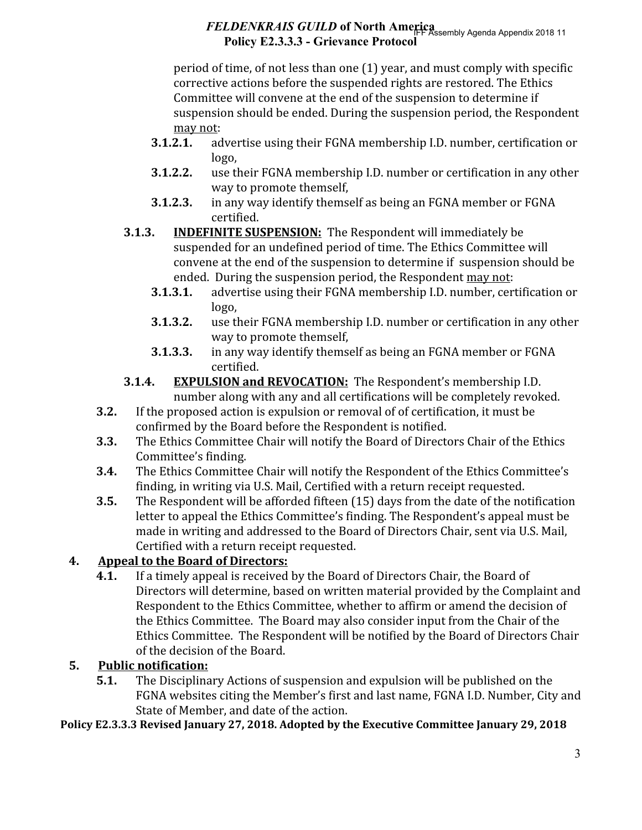# FELDENKRAIS GUILD of North America<br>Find a Appendix 2018 11 Policy E2.3.3.3 - Grievance Protocol

period of time, of not less than one (1) year, and must comply with specific corrective actions before the suspended rights are restored. The Ethics Committee will convene at the end of the suspension to determine if suspension should be ended. During the suspension period, the Respondent may not:

- $3.1.2.1.$ advertise using their FGNA membership I.D. number, certification or logo,
- $3.1.2.2.$ use their FGNA membership I.D. number or certification in any other way to promote themself,
- $3.1.2.3.$ in any way identify themself as being an FGNA member or FGNA certified.
- $3.1.3.$ **INDEFINITE SUSPENSION:** The Respondent will immediately be suspended for an undefined period of time. The Ethics Committee will convene at the end of the suspension to determine if suspension should be ended. During the suspension period, the Respondent may not:
	- advertise using their FGNA membership I.D. number, certification or  $3.1.3.1.$ logo,
	- $3.1.3.2.$ use their FGNA membership I.D. number or certification in any other way to promote themself.
	- in any way identify themself as being an FGNA member or FGNA 3.1.3.3. certified.
- $3.1.4.$ **EXPULSION and REVOCATION:** The Respondent's membership I.D. number along with any and all certifications will be completely revoked.
- If the proposed action is expulsion or removal of of certification, it must be  $3.2.$ confirmed by the Board before the Respondent is notified.
- $3.3.$ The Ethics Committee Chair will notify the Board of Directors Chair of the Ethics Committee's finding.
- $3.4.$ The Ethics Committee Chair will notify the Respondent of the Ethics Committee's finding, in writing via U.S. Mail, Certified with a return receipt requested.
- $3.5.$ The Respondent will be afforded fifteen (15) days from the date of the notification letter to appeal the Ethics Committee's finding. The Respondent's appeal must be made in writing and addressed to the Board of Directors Chair, sent via U.S. Mail, Certified with a return receipt requested.

#### $4.$ **Appeal to the Board of Directors:**

If a timely appeal is received by the Board of Directors Chair, the Board of  $4.1.$ Directors will determine, based on written material provided by the Complaint and Respondent to the Ethics Committee, whether to affirm or amend the decision of the Ethics Committee. The Board may also consider input from the Chair of the Ethics Committee. The Respondent will be notified by the Board of Directors Chair of the decision of the Board.

#### 5. **Public notification:**

 $5.1.$ The Disciplinary Actions of suspension and expulsion will be published on the FGNA websites citing the Member's first and last name, FGNA I.D. Number, City and State of Member, and date of the action.

Policy E2.3.3.3 Revised January 27, 2018. Adopted by the Executive Committee January 29, 2018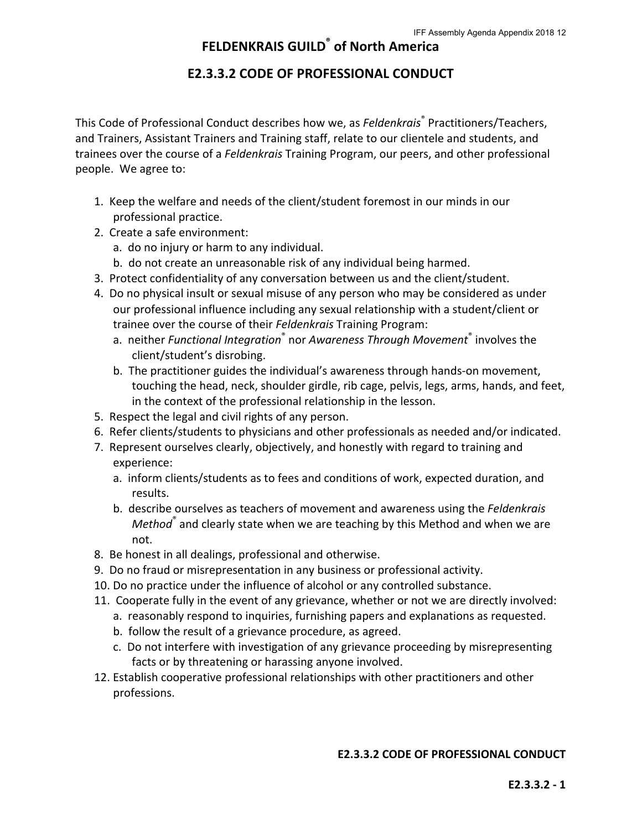## **E2.3.3.2 CODE OF PROFESSIONAL CONDUCT**

This Code of Professional Conduct describes how we, as Feldenkrais<sup>®</sup> Practitioners/Teachers, and Trainers, Assistant Trainers and Training staff, relate to our clientele and students, and trainees over the course of a *Feldenkrais* Training Program, our peers, and other professional people. We agree to:

- 1. Keep the welfare and needs of the client/student foremost in our minds in our professional practice.
- 2. Create a safe environment:
	- a. do no injury or harm to any individual.
	- b. do not create an unreasonable risk of any individual being harmed.
- 3. Protect confidentiality of any conversation between us and the client/student.
- 4. Do no physical insult or sexual misuse of any person who may be considered as under our professional influence including any sexual relationship with a student/client or trainee over the course of their *Feldenkrais* Training Program:
	- a. neither *Functional Integration*<sup>®</sup> nor Awareness Through Movement® involves the client/student's disrobing.
	- b. The practitioner guides the individual's awareness through hands-on movement, touching the head, neck, shoulder girdle, rib cage, pelvis, legs, arms, hands, and feet, in the context of the professional relationship in the lesson.
- 5. Respect the legal and civil rights of any person.
- 6. Refer clients/students to physicians and other professionals as needed and/or indicated.
- 7. Represent ourselves clearly, objectively, and honestly with regard to training and experience:
	- a. inform clients/students as to fees and conditions of work, expected duration, and results.
	- b. describe ourselves as teachers of movement and awareness using the *Feldenkrais* Method<sup>®</sup> and clearly state when we are teaching by this Method and when we are not.
- 8. Be honest in all dealings, professional and otherwise.
- 9. Do no fraud or misrepresentation in any business or professional activity.
- 10. Do no practice under the influence of alcohol or any controlled substance.
- 11. Cooperate fully in the event of any grievance, whether or not we are directly involved:
	- a. reasonably respond to inquiries, furnishing papers and explanations as requested.
		- b. follow the result of a grievance procedure, as agreed.
		- c. Do not interfere with investigation of any grievance proceeding by misrepresenting facts or by threatening or harassing anyone involved.
- 12. Establish cooperative professional relationships with other practitioners and other professions.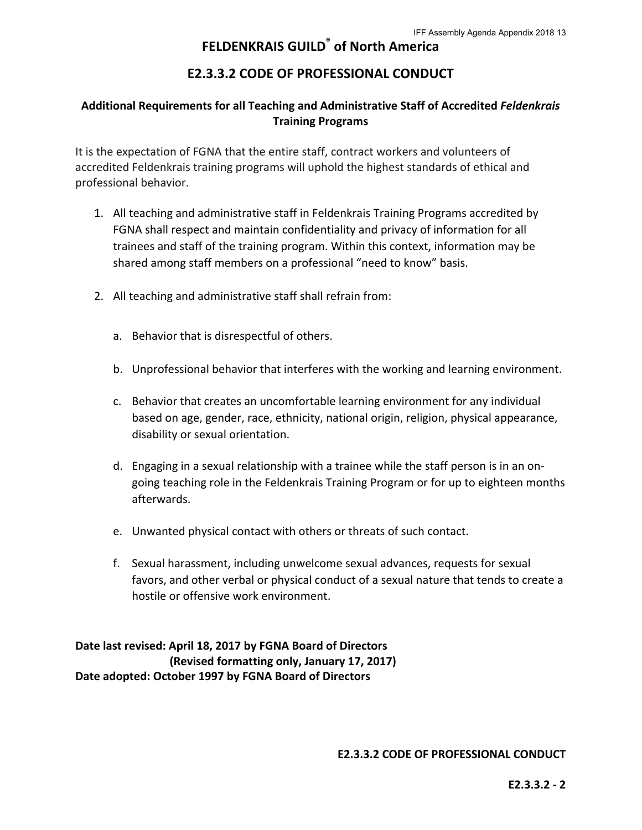## **FELDENKRAIS GUILD® of North America**

## **E2.3.3.2 CODE OF PROFESSIONAL CONDUCT**

## Additional Requirements for all Teaching and Administrative Staff of Accredited Feldenkrais **Training Programs**

It is the expectation of FGNA that the entire staff, contract workers and volunteers of accredited Feldenkrais training programs will uphold the highest standards of ethical and professional behavior.

- 1. All teaching and administrative staff in Feldenkrais Training Programs accredited by FGNA shall respect and maintain confidentiality and privacy of information for all trainees and staff of the training program. Within this context, information may be shared among staff members on a professional "need to know" basis.
- 2. All teaching and administrative staff shall refrain from:
	- a. Behavior that is disrespectful of others.
	- b. Unprofessional behavior that interferes with the working and learning environment.
	- c. Behavior that creates an uncomfortable learning environment for any individual based on age, gender, race, ethnicity, national origin, religion, physical appearance, disability or sexual orientation.
	- d. Engaging in a sexual relationship with a trainee while the staff person is in an ongoing teaching role in the Feldenkrais Training Program or for up to eighteen months afterwards.
	- e. Unwanted physical contact with others or threats of such contact.
	- f. Sexual harassment, including unwelcome sexual advances, requests for sexual favors, and other verbal or physical conduct of a sexual nature that tends to create a hostile or offensive work environment.

Date last revised: April 18, 2017 by FGNA Board of Directors **(Revised formatting only, January 17, 2017)** Date adopted: October 1997 by FGNA Board of Directors

**E2.3.3.2 CODE OF PROFESSIONAL CONDUCT**